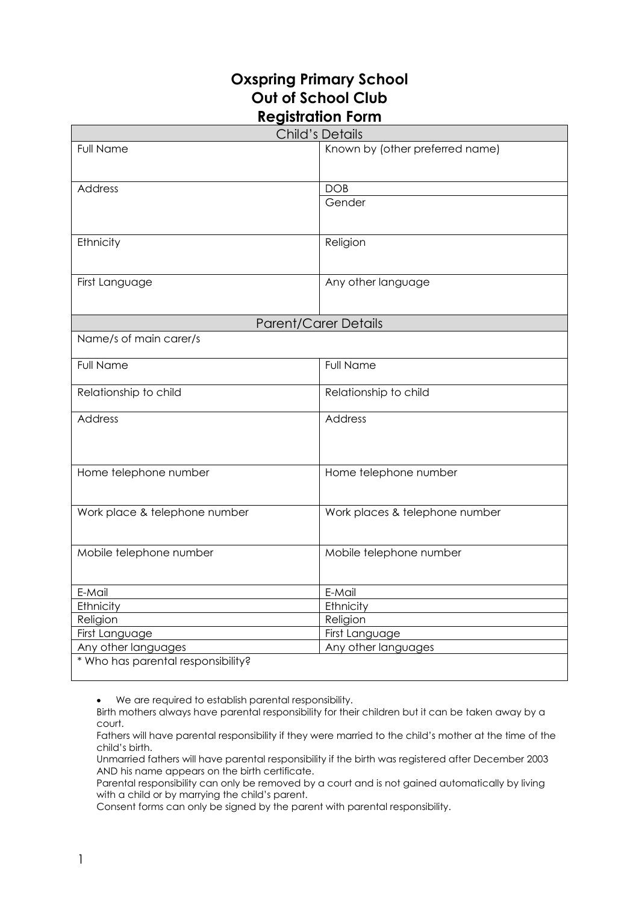## **Oxspring Primary School Out of School Club Registration Form**

| <b>Child's Details</b>                                |                                 |
|-------------------------------------------------------|---------------------------------|
| <b>Full Name</b>                                      | Known by (other preferred name) |
|                                                       |                                 |
|                                                       |                                 |
| <b>Address</b>                                        | <b>DOB</b>                      |
|                                                       | Gender                          |
|                                                       |                                 |
| Ethnicity                                             | Religion                        |
|                                                       |                                 |
|                                                       |                                 |
| First Language                                        | Any other language              |
|                                                       |                                 |
|                                                       |                                 |
| <b>Parent/Carer Details</b><br>Name/s of main carer/s |                                 |
|                                                       |                                 |
| <b>Full Name</b>                                      | <b>Full Name</b>                |
|                                                       |                                 |
| Relationship to child                                 | Relationship to child           |
| Address                                               | Address                         |
|                                                       |                                 |
|                                                       |                                 |
|                                                       |                                 |
| Home telephone number                                 | Home telephone number           |
|                                                       |                                 |
|                                                       |                                 |
| Work place & telephone number                         | Work places & telephone number  |
|                                                       |                                 |
| Mobile telephone number                               | Mobile telephone number         |
|                                                       |                                 |
|                                                       |                                 |
| E-Mail                                                | E-Mail                          |
| Ethnicity                                             | Ethnicity                       |
| Religion                                              | Religion                        |
| First Language                                        | First Language                  |
| Any other languages                                   | Any other languages             |
| * Who has parental responsibility?                    |                                 |

We are required to establish parental responsibility.

Birth mothers always have parental responsibility for their children but it can be taken away by a court.

Fathers will have parental responsibility if they were married to the child's mother at the time of the child's birth.

Unmarried fathers will have parental responsibility if the birth was registered after December 2003 AND his name appears on the birth certificate.

Parental responsibility can only be removed by a court and is not gained automatically by living with a child or by marrying the child's parent.

Consent forms can only be signed by the parent with parental responsibility.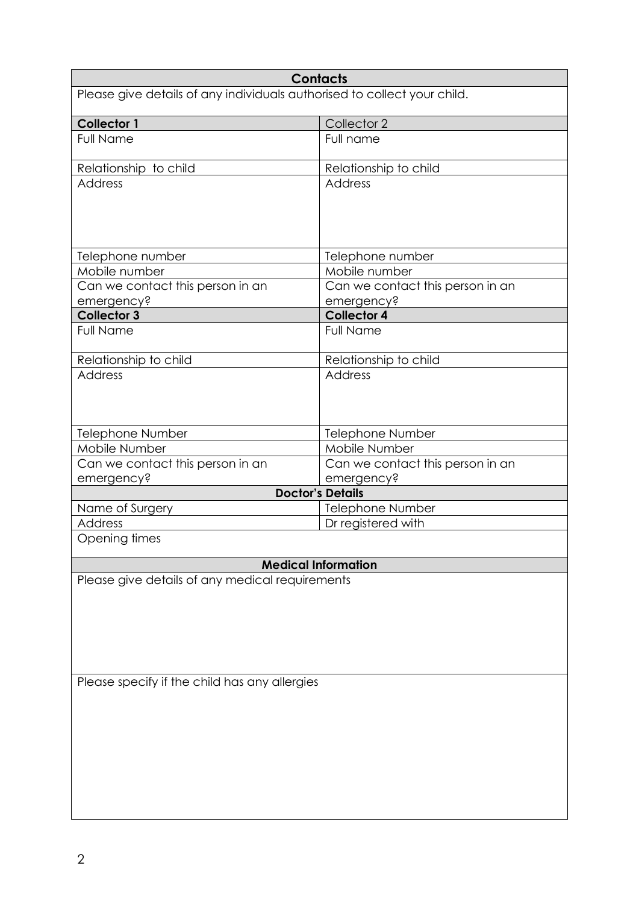|                                                                                                  | <b>Contacts</b>                  |  |
|--------------------------------------------------------------------------------------------------|----------------------------------|--|
| Please give details of any individuals authorised to collect your child.                         |                                  |  |
| <b>Collector 1</b>                                                                               | Collector 2                      |  |
| <b>Full Name</b>                                                                                 | Full name                        |  |
| Relationship to child                                                                            | Relationship to child            |  |
| <b>Address</b>                                                                                   | Address                          |  |
| Telephone number                                                                                 | Telephone number                 |  |
| Mobile number                                                                                    | Mobile number                    |  |
| Can we contact this person in an                                                                 | Can we contact this person in an |  |
| emergency?                                                                                       | emergency?                       |  |
| <b>Collector 3</b>                                                                               | <b>Collector 4</b>               |  |
| <b>Full Name</b>                                                                                 | <b>Full Name</b>                 |  |
| Relationship to child                                                                            | Relationship to child            |  |
| <b>Address</b>                                                                                   | <b>Address</b>                   |  |
| Telephone Number                                                                                 | <b>Telephone Number</b>          |  |
| Mobile Number                                                                                    | Mobile Number                    |  |
| Can we contact this person in an                                                                 | Can we contact this person in an |  |
| emergency?                                                                                       | emergency?                       |  |
|                                                                                                  | <b>Doctor's Details</b>          |  |
| Name of Surgery                                                                                  | Telephone Number                 |  |
| <b>Address</b>                                                                                   | Dr registered with               |  |
| Opening times                                                                                    |                                  |  |
|                                                                                                  | <b>Medical Information</b>       |  |
| Please give details of any medical requirements<br>Please specify if the child has any allergies |                                  |  |
|                                                                                                  |                                  |  |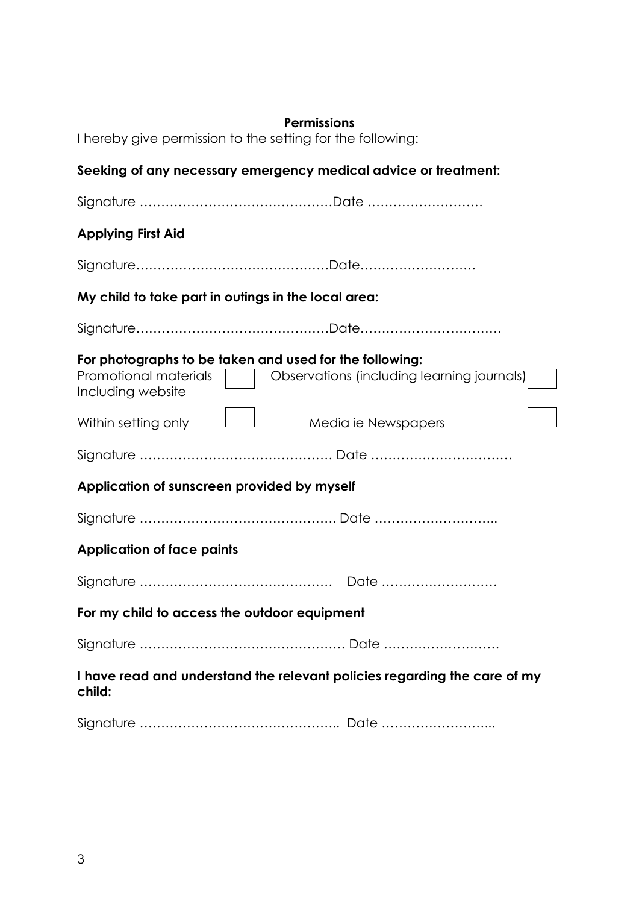| <b>Permissions</b><br>I hereby give permission to the setting for the following:<br>Seeking of any necessary emergency medical advice or treatment: |                                                                                                       |  |
|-----------------------------------------------------------------------------------------------------------------------------------------------------|-------------------------------------------------------------------------------------------------------|--|
|                                                                                                                                                     |                                                                                                       |  |
| <b>Applying First Aid</b>                                                                                                                           |                                                                                                       |  |
|                                                                                                                                                     |                                                                                                       |  |
|                                                                                                                                                     | My child to take part in outings in the local area:                                                   |  |
|                                                                                                                                                     |                                                                                                       |  |
| Promotional materials<br>Including website                                                                                                          | For photographs to be taken and used for the following:<br>Observations (including learning journals) |  |
| Within setting only                                                                                                                                 | $\mathbb{R}^n$<br>Media ie Newspapers                                                                 |  |
|                                                                                                                                                     |                                                                                                       |  |
| Application of sunscreen provided by myself                                                                                                         |                                                                                                       |  |
|                                                                                                                                                     |                                                                                                       |  |
| <b>Application of face paints</b>                                                                                                                   |                                                                                                       |  |
|                                                                                                                                                     |                                                                                                       |  |
|                                                                                                                                                     | For my child to access the outdoor equipment                                                          |  |
|                                                                                                                                                     |                                                                                                       |  |
| child:                                                                                                                                              | I have read and understand the relevant policies regarding the care of my                             |  |
|                                                                                                                                                     |                                                                                                       |  |